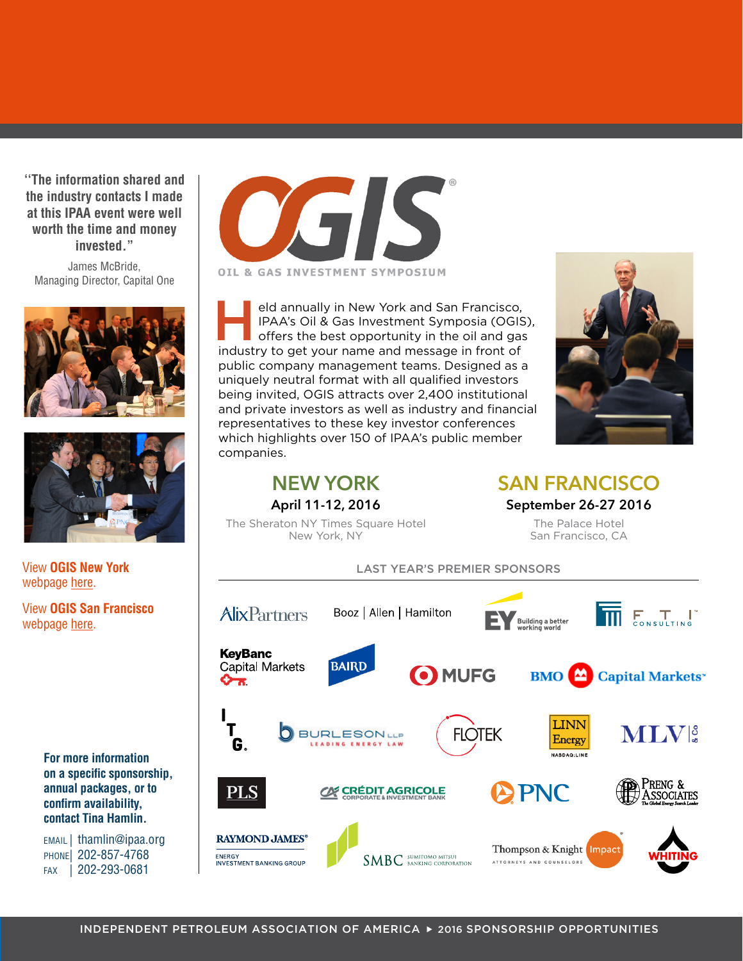**''The information shared and the industry contacts I made at this IPAA event were well worth the time and money invested."** 

James McBride, Managing Director, Capital One





View **OGIS New York**  webpage [here.](http://www.ipaa.org/meetings-events/event-details/?mid=272)

View **OGIS San Francisco** webpage [here.](http://www.ipaa.org/meetings-events/event-details/?mid=355)

> **For more information on a specific sponsorship, annual packages, or to confirm availability, contact Tina Hamlin.**

EMAIL | thamlin@ipaa.org PHONE| 202-857-4768 FAX | 202-293-0681



eld annually in New York and San Francisco,<br>
IPAA's Oil & Gas Investment Symposia (OGIS)<br>
offers the best opportunity in the oil and gas<br>
industry to get your name and message in front of IPAA's Oil & Gas Investment Symposia (OGIS), industry to get your name and message in front of public company management teams. Designed as a uniquely neutral format with all qualified investors being invited, OGIS attracts over 2,400 institutional and private investors as well as industry and financial representatives to these key investor conferences which highlights over 150 of IPAA's public member companies.



**April 11-12, 2016** The Sheraton NY Times Square Hotel New York, NY

**NEW YORK**

**SAN FRANCISCO**

**September 26-27 2016**

The Palace Hotel San Francisco, CA

#### LAST YEAR'S PREMIER SPONSORS **AlixPartners THE E T I** Booz | Allen | Hamilton Building a better **KevBanc Capital Markets BAIRD** O MUFG  $BMO$   $\triangle$ **Capital Markets\*** ᢙᠽ **LINN MLVE FLOTEK BURLESONLLP** Energy G. **NASDAQ:LINE CO CRÉDIT AGRICOLE** PNC PLS **RAYMOND JAMES®** Thompson & Knight Impact ENERGY<br>INVESTMENT BANKING GROUP  $\mathsf{SMBC}$  sumitomo mitsui ATTORNEYS AND COUNSELORS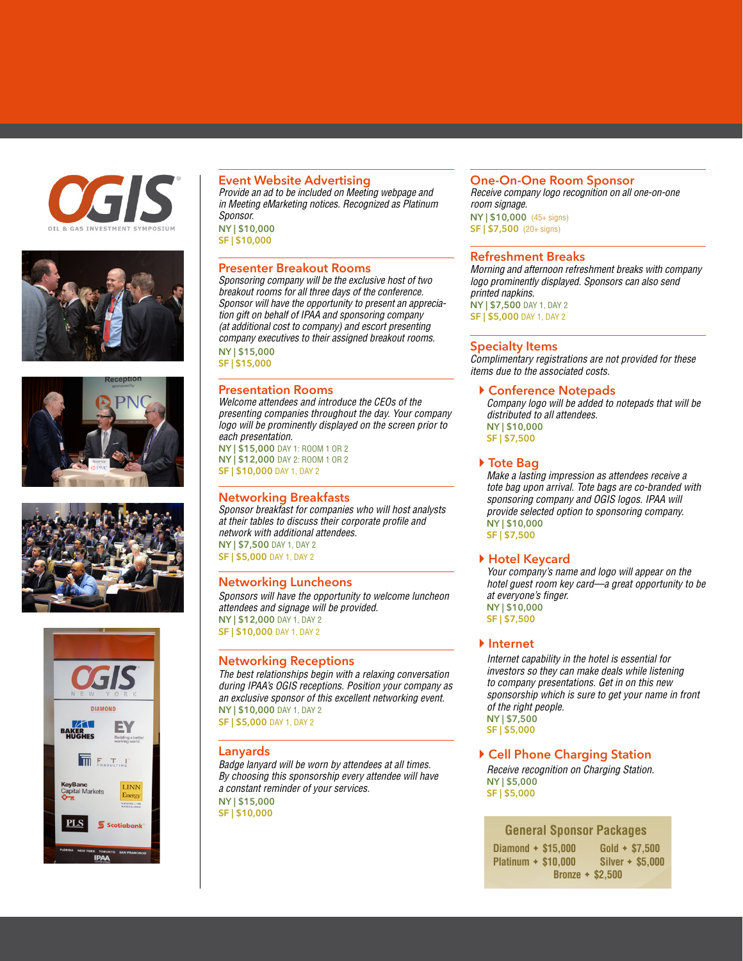









# **Event Website Advertising**

*Provide an ad to be included on Meeting webpage and in Meeting eMarketing notices. Recognized as Platinum Sponsor.*

**NY | \$10,000 SF | \$10,000** 

# **Presenter Breakout Rooms**

*Sponsoring company will be the exclusive host of two breakout rooms for all three days of the conference. Sponsor will have the opportunity to present an appreciation gift on behalf of IPAA and sponsoring company (at additional cost to company) and escort presenting company executives to their assigned breakout rooms.* **NY | \$15,000** 

**SF | \$15,000**

# **Presentation Rooms**

*Welcome attendees and introduce the CEOs of the presenting companies throughout the day. Your company logo will be prominently displayed on the screen prior to each presentation.* **NY | \$15,000** DAY 1: ROOM 1 OR 2 **NY | \$12,000** DAY 2: ROOM 1 OR 2

**SF | \$10,000** DAY 1, DAY 2

# **Networking Breakfasts**

*Sponsor breakfast for companies who will host analysts at their tables to discuss their corporate profile and network with additional attendees.* **NY | \$7,500** DAY 1, DAY 2

**SF | \$5,000** DAY 1, DAY 2

#### **Networking Luncheons**

*Sponsors will have the opportunity to welcome luncheon attendees and signage will be provided.* **NY | \$12,000** DAY 1, DAY 2 **SF | \$10,000** DAY 1, DAY 2

# **Networking Receptions**

*The best relationships begin with a relaxing conversation during IPAA's OGIS receptions. Position your company as an exclusive sponsor of this excellent networking event.* **NY | \$10,000** DAY 1, DAY 2 **SF | \$5,000** DAY 1, DAY 2

**Lanyards**

*Badge lanyard will be worn by attendees at all times. By choosing this sponsorship every attendee will have a constant reminder of your services.* **NY | \$15,000** 

**SF | \$10,000**

### **One-On-One Room Sponsor**

*Receive company logo recognition on all one-on-one room signage.* 

**NY | \$10,000**  (45+ signs) **SF | \$7,500** (20+ signs)

#### **Refreshment Breaks**

*Morning and afternoon refreshment breaks with company logo prominently displayed. Sponsors can also send printed napkins.* **NY | \$7,500** DAY 1, DAY 2 **SF | \$5,000** DAY 1, DAY 2

# **Specialty Items**

*Complimentary registrations are not provided for these items due to the associated costs.*

#### **Conference Notepads**

*Company logo will be added to notepads that will be distributed to all attendees.* **NY | \$10,000 SF | \$7,500**

 **Tote Bag**

*Make a lasting impression as attendees receive a tote bag upon arrival. Tote bags are co-branded with sponsoring company and OGIS logos. IPAA will provide selected option to sponsoring company.*  **NY | \$10,000 SF | \$7,500**

# **Hotel Keycard**

*Your company's name and logo will appear on the hotel guest room key card—a great opportunity to be at everyone's finger.* **NY | \$10,000 SF | \$7,500**

 **Internet**

*Internet capability in the hotel is essential for investors so they can make deals while listening to company presentations. Get in on this new sponsorship which is sure to get your name in front of the right people.*  **NY | \$7,500** 

**SF | \$5,000**

# **Cell Phone Charging Station**

*Receive recognition on Charging Station.* **NY | \$5,000 SF | \$5,000**

# **General Sponsor Packages**

**Diamond** ✦ **\$15,000 Platinum** ✦ **\$10,000 Gold** ✦ **\$7,500 Silver** ✦ **\$5,000 Bronze** ✦ **\$2,500**